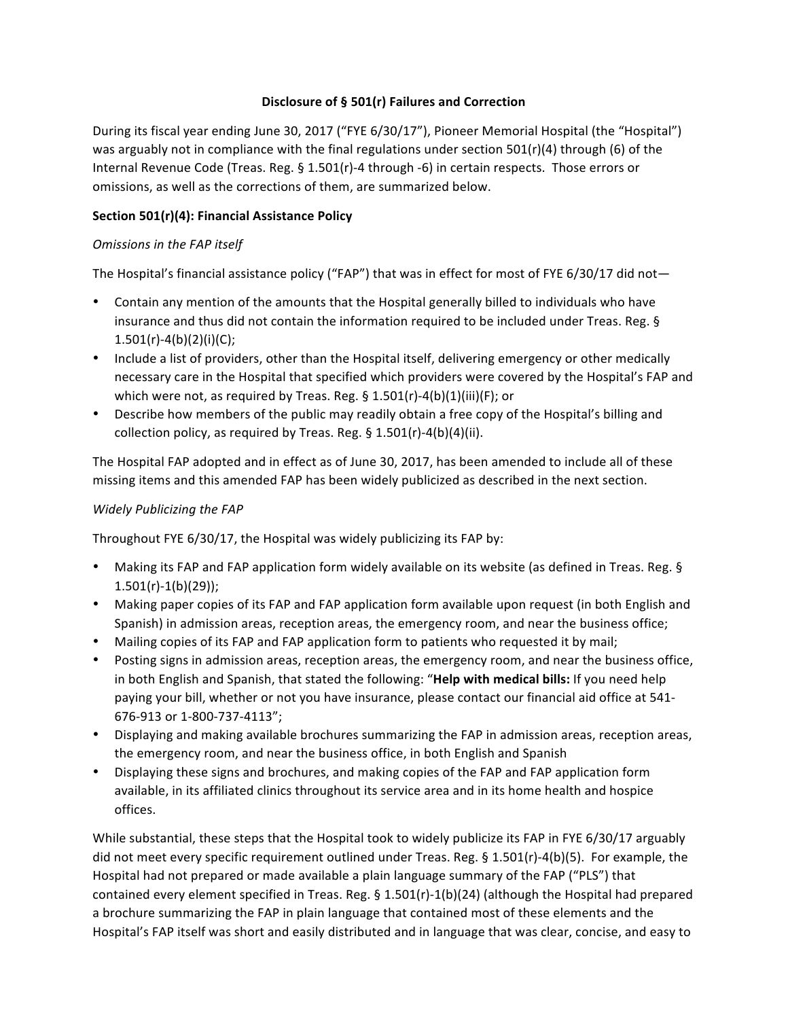# **Disclosure of § 501(r) Failures and Correction**

During its fiscal year ending June 30, 2017 ("FYE 6/30/17"), Pioneer Memorial Hospital (the "Hospital") was arguably not in compliance with the final regulations under section  $501(r)(4)$  through (6) of the Internal Revenue Code (Treas. Reg. § 1.501(r)-4 through -6) in certain respects. Those errors or omissions, as well as the corrections of them, are summarized below.

# Section 501(r)(4): Financial Assistance Policy

### **Omissions in the FAP itself**

The Hospital's financial assistance policy ("FAP") that was in effect for most of FYE 6/30/17 did not—

- Contain any mention of the amounts that the Hospital generally billed to individuals who have insurance and thus did not contain the information required to be included under Treas. Reg. § 1.501(r)-4(b)(2)(i)(C);
- Include a list of providers, other than the Hospital itself, delivering emergency or other medically necessary care in the Hospital that specified which providers were covered by the Hospital's FAP and which were not, as required by Treas. Reg.  $\S$  1.501(r)-4(b)(1)(iii)(F); or
- Describe how members of the public may readily obtain a free copy of the Hospital's billing and collection policy, as required by Treas. Reg.  $\S$  1.501(r)-4(b)(4)(ii).

The Hospital FAP adopted and in effect as of June 30, 2017, has been amended to include all of these missing items and this amended FAP has been widely publicized as described in the next section.

# *Widely Publicizing the FAP*

Throughout FYE  $6/30/17$ , the Hospital was widely publicizing its FAP by:

- Making its FAP and FAP application form widely available on its website (as defined in Treas. Reg. §  $1.501(r)-1(b)(29)$ ;
- Making paper copies of its FAP and FAP application form available upon request (in both English and Spanish) in admission areas, reception areas, the emergency room, and near the business office;
- Mailing copies of its FAP and FAP application form to patients who requested it by mail;
- Posting signs in admission areas, reception areas, the emergency room, and near the business office, in both English and Spanish, that stated the following: "Help with medical bills: If you need help paying your bill, whether or not you have insurance, please contact our financial aid office at 541-676-913 or 1-800-737-4113";
- Displaying and making available brochures summarizing the FAP in admission areas, reception areas, the emergency room, and near the business office, in both English and Spanish
- Displaying these signs and brochures, and making copies of the FAP and FAP application form available, in its affiliated clinics throughout its service area and in its home health and hospice offices.

While substantial, these steps that the Hospital took to widely publicize its FAP in FYE 6/30/17 arguably did not meet every specific requirement outlined under Treas. Reg.  $\S 1.501(r)-4(b)(5)$ . For example, the Hospital had not prepared or made available a plain language summary of the FAP ("PLS") that contained every element specified in Treas. Reg.  $\S$  1.501(r)-1(b)(24) (although the Hospital had prepared a brochure summarizing the FAP in plain language that contained most of these elements and the Hospital's FAP itself was short and easily distributed and in language that was clear, concise, and easy to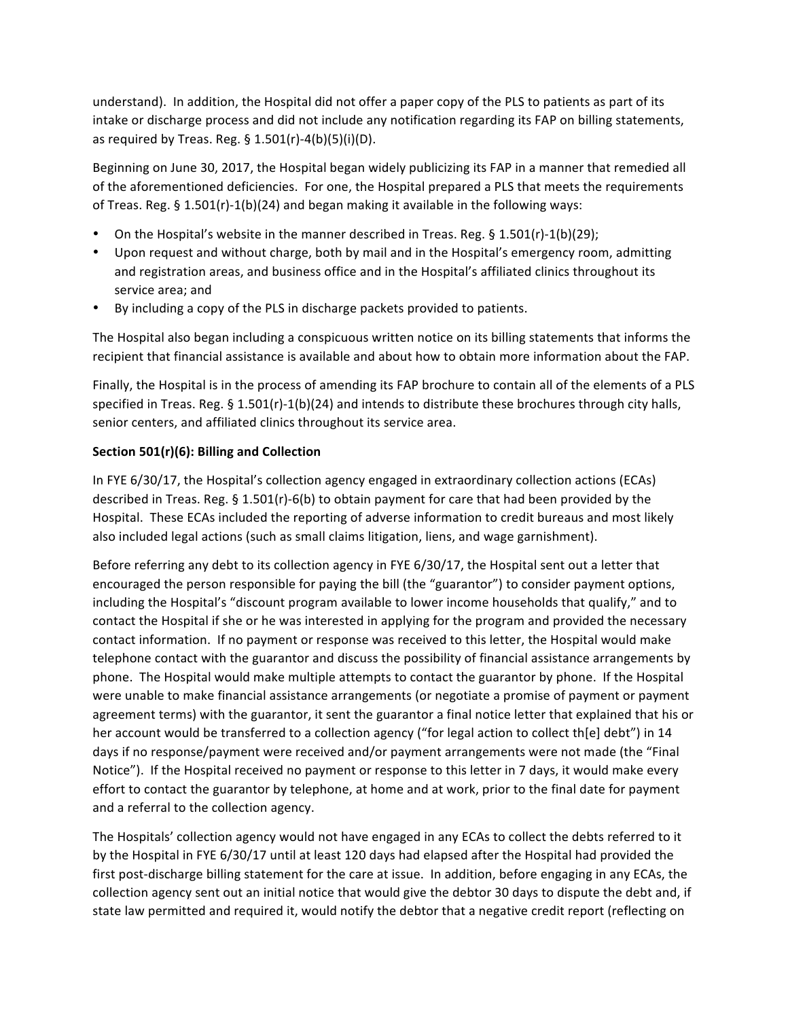understand). In addition, the Hospital did not offer a paper copy of the PLS to patients as part of its intake or discharge process and did not include any notification regarding its FAP on billing statements, as required by Treas. Reg.  $\S$  1.501(r)-4(b)(5)(i)(D).

Beginning on June 30, 2017, the Hospital began widely publicizing its FAP in a manner that remedied all of the aforementioned deficiencies. For one, the Hospital prepared a PLS that meets the requirements of Treas. Reg. §  $1.501(r)-1(b)(24)$  and began making it available in the following ways:

- On the Hospital's website in the manner described in Treas. Reg.  $\S 1.501(r) 1(b)(29)$ ;
- Upon request and without charge, both by mail and in the Hospital's emergency room, admitting and registration areas, and business office and in the Hospital's affiliated clinics throughout its service area; and
- By including a copy of the PLS in discharge packets provided to patients.

The Hospital also began including a conspicuous written notice on its billing statements that informs the recipient that financial assistance is available and about how to obtain more information about the FAP.

Finally, the Hospital is in the process of amending its FAP brochure to contain all of the elements of a PLS specified in Treas. Reg. §  $1.501(r)-1(b)(24)$  and intends to distribute these brochures through city halls, senior centers, and affiliated clinics throughout its service area.

#### Section 501(r)(6): Billing and Collection

In FYE 6/30/17, the Hospital's collection agency engaged in extraordinary collection actions (ECAs) described in Treas. Reg. § 1.501(r)-6(b) to obtain payment for care that had been provided by the Hospital. These ECAs included the reporting of adverse information to credit bureaus and most likely also included legal actions (such as small claims litigation, liens, and wage garnishment).

Before referring any debt to its collection agency in FYE 6/30/17, the Hospital sent out a letter that encouraged the person responsible for paying the bill (the "guarantor") to consider payment options, including the Hospital's "discount program available to lower income households that qualify," and to contact the Hospital if she or he was interested in applying for the program and provided the necessary contact information. If no payment or response was received to this letter, the Hospital would make telephone contact with the guarantor and discuss the possibility of financial assistance arrangements by phone. The Hospital would make multiple attempts to contact the guarantor by phone. If the Hospital were unable to make financial assistance arrangements (or negotiate a promise of payment or payment agreement terms) with the guarantor, it sent the guarantor a final notice letter that explained that his or her account would be transferred to a collection agency ("for legal action to collect th[e] debt") in 14 days if no response/payment were received and/or payment arrangements were not made (the "Final Notice"). If the Hospital received no payment or response to this letter in 7 days, it would make every effort to contact the guarantor by telephone, at home and at work, prior to the final date for payment and a referral to the collection agency.

The Hospitals' collection agency would not have engaged in any ECAs to collect the debts referred to it by the Hospital in FYE 6/30/17 until at least 120 days had elapsed after the Hospital had provided the first post-discharge billing statement for the care at issue. In addition, before engaging in any ECAs, the collection agency sent out an initial notice that would give the debtor 30 days to dispute the debt and, if state law permitted and required it, would notify the debtor that a negative credit report (reflecting on